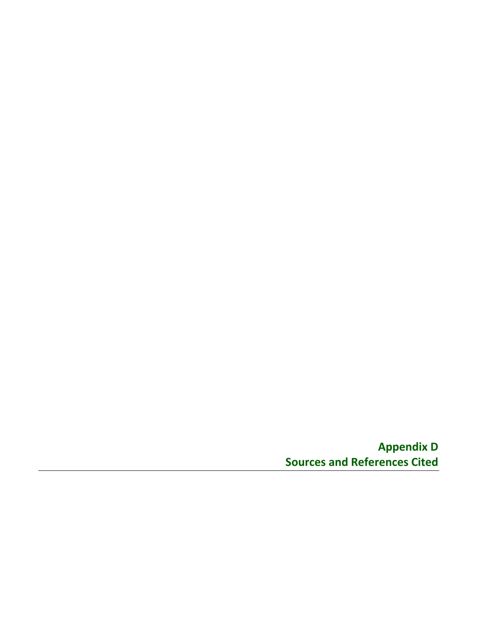**Appendix D Sources and References Cited**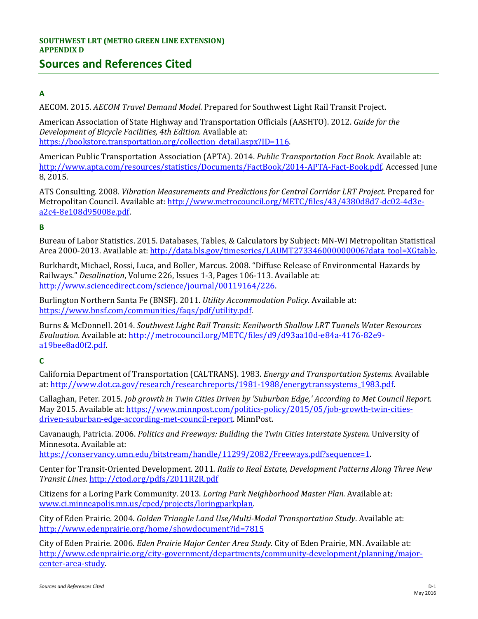# **Sources and References Cited**

# **A**

AECOM. 2015. *AECOM Travel Demand Model*. Prepared for Southwest Light Rail Transit Project.

American Association of State Highway and Transportation Officials (AASHTO). 2012. *Guide for the Development of Bicycle Facilities, 4th Edition.* Available at: https://bookstore.transportation.org/collection\_detail.aspx?ID=116.

American Public Transportation Association (APTA). 2014. *Public Transportation Fact Book.* Available at: [http://www.apta.com/resources/statistics/Documents/FactBook/2014-APTA-Fact-Book.pdf.](http://www.apta.com/resources/statistics/Documents/FactBook/2014-APTA-Fact-Book.pdf) Accessed June 8, 2015.

ATS Consulting. 2008. *Vibration Measurements and Predictions for Central Corridor LRT Project*. Prepared for Metropolitan Council. Available at[: http://www.metrocouncil.org/METC/files/43/4380d8d7-dc02-4d3e](http://www.metrocouncil.org/METC/files/43/4380d8d7-dc02-4d3e-a2c4-8e108d95008e.pdf)[a2c4-8e108d95008e.pdf.](http://www.metrocouncil.org/METC/files/43/4380d8d7-dc02-4d3e-a2c4-8e108d95008e.pdf)

## **B**

Bureau of Labor Statistics. 2015. Databases, Tables, & Calculators by Subject: MN-WI Metropolitan Statistical Area 2000-2013. Available at: [http://data.bls.gov/timeseries/LAUMT273346000000006?data\\_tool=XGtable.](http://data.bls.gov/timeseries/LAUMT273346000000006?data_tool=XGtable)

Burkhardt, Michael, Rossi, Luca, and Boller, Marcus. 2008. "Diffuse Release of Environmental Hazards by Railways." *Desalination*, Volume 226, Issues 1-3, Pages 106-113. Available at: [http://www.sciencedirect.com/science/journal/00119164/226.](http://www.sciencedirect.com/science/journal/00119164/226) 

Burlington Northern Santa Fe (BNSF). 2011. *Utility Accommodation Policy*. Available at: [https://www.bnsf.com/communities/faqs/pdf/utility.pdf.](https://www.bnsf.com/communities/faqs/pdf/utility.pdf)

Burns & McDonnell. 2014. *Southwest Light Rail Transit: Kenilworth Shallow LRT Tunnels Water Resources Evaluation.* Available at: [http://metrocouncil.org/METC/files/d9/d93aa10d-e84a-4176-82e9](http://metrocouncil.org/METC/files/d9/d93aa10d-e84a-4176-82e9-a19bee8ad0f2.pdf) [a19bee8ad0f2.pdf.](http://metrocouncil.org/METC/files/d9/d93aa10d-e84a-4176-82e9-a19bee8ad0f2.pdf) 

## **C**

California Department of Transportation (CALTRANS). 1983. *Energy and Transportation Systems*. Available at: [http://www.dot.ca.gov/research/researchreports/1981-1988/energytranssystems\\_1983.pdf.](http://www.dot.ca.gov/research/researchreports/1981-1988/energytranssystems_1983.pdf) 

Callaghan, Peter. 2015. *Job growth in Twin Cities Driven by 'Suburban Edge,' According to Met Council Report*. May 2015. Available at: [https://www.minnpost.com/politics-policy/2015/05/job-growth-twin-cities](https://www.minnpost.com/politics-policy/2015/05/job-growth-twin-cities-driven-suburban-edge-according-met-council-report)[driven-suburban-edge-according-met-council-report.](https://www.minnpost.com/politics-policy/2015/05/job-growth-twin-cities-driven-suburban-edge-according-met-council-report) MinnPost.

Cavanaugh, Patricia. 2006. *Politics and Freeways: Building the Twin Cities Interstate System*. University of Minnesota. Available at:

[https://conservancy.umn.edu/bitstream/handle/11299/2082/Freeways.pdf?sequence=1.](https://conservancy.umn.edu/bitstream/handle/11299/2082/Freeways.pdf?sequence=1)

Center for Transit-Oriented Development. 2011*. Rails to Real Estate, Development Patterns Along Three New Transit Lines*.<http://ctod.org/pdfs/2011R2R.pdf>

Citizens for a Loring Park Community. 2013. *Loring Park Neighborhood Master Plan.* Available at: [www.ci.minneapolis.mn.us/cped/projects/loringparkplan.](http://www.ci.minneapolis.mn.us/cped/projects/loringparkplan)

City of Eden Prairie. 2004. *Golden Triangle Land Use/Multi-Modal Transportation Study*. Available at: <http://www.edenprairie.org/home/showdocument?id=7815>

City of Eden Prairie. 2006. *Eden Prairie Major Center Area Study.* City of Eden Prairie, MN. Available at: [http://www.edenprairie.org/city-government/departments/community-development/planning/major](http://www.edenprairie.org/city-government/departments/community-development/planning/major-center-area-study)[center-area-study.](http://www.edenprairie.org/city-government/departments/community-development/planning/major-center-area-study)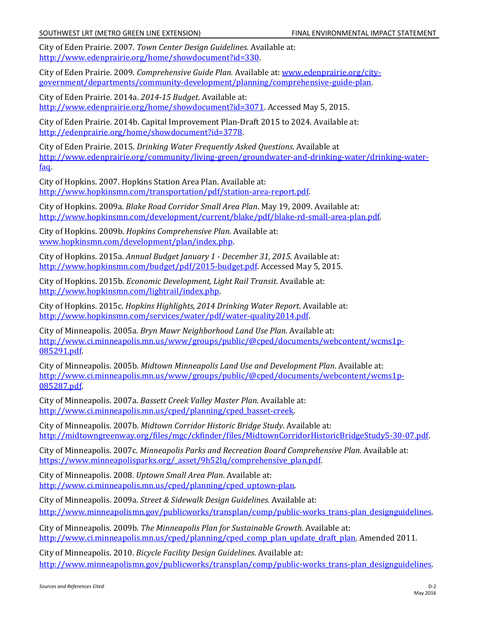City of Eden Prairie. 2007. *Town Center Design Guidelines.* Available at: [http://www.edenprairie.org/home/showdocument?id=330.](http://www.edenprairie.org/home/showdocument?id=330)

City of Eden Prairie. 2009. *Comprehensive Guide Plan.* Available at: [www.edenprairie.org/city](http://www.edenprairie.org/city-government/departments/community-development/planning/comprehensive-guide-plan)[government/departments/community-development/planning/comprehensive-guide-plan.](http://www.edenprairie.org/city-government/departments/community-development/planning/comprehensive-guide-plan)

City of Eden Prairie. 2014a. *2014-15 Budget*. Available at: [http://www.edenprairie.org/home/showdocument?id=3071.](http://www.edenprairie.org/home/showdocument?id=3071) Accessed May 5, 2015.

City of Eden Prairie. 2014b. Capital Improvement Plan-Draft 2015 to 2024. Available at: [http://edenprairie.org/home/showdocument?id=3778.](http://edenprairie.org/home/showdocument?id=3778)

City of Eden Prairie. 2015. *Drinking Water Frequently Asked Questions*. Available at [http://www.edenprairie.org/community/living-green/groundwater-and-drinking-water/drinking-water](http://www.edenprairie.org/community/living-green/groundwater-and-drinking-water/drinking-water-faq)[faq.](http://www.edenprairie.org/community/living-green/groundwater-and-drinking-water/drinking-water-faq)

City of Hopkins. 2007. Hopkins Station Area Plan. Available at: [http://www.hopkinsmn.com/transportation/pdf/station-area-report.pdf.](http://www.hopkinsmn.com/transportation/pdf/station-area-report.pdf)

City of Hopkins. 2009a. *Blake Road Corridor Small Area Plan*. May 19, 2009. Available at: [http://www.hopkinsmn.com/development/current/blake/pdf/blake-rd-small-area-plan.pdf.](http://www.hopkinsmn.com/development/current/blake/pdf/blake-rd-small-area-plan.pdf)

City of Hopkins. 2009b. *Hopkins Comprehensive Plan.* Available at: [www.hopkinsmn.com/development/plan/index.php.](http://www.hopkinsmn.com/development/plan/index.php)

City of Hopkins. 2015a. *Annual Budget January 1 - December 31, 2015*. Available at: [http://www.hopkinsmn.com/budget/pdf/2015-budget.pdf.](http://www.hopkinsmn.com/budget/pdf/2015-budget.pdf) Accessed May 5, 2015.

City of Hopkins. 2015b. *Economic Development, Light Rail Transit*. Available at: [http://www.hopkinsmn.com/lightrail/index.php.](http://www.hopkinsmn.com/lightrail/index.php)

City of Hopkins. 2015c. *Hopkins Highlights, 2014 Drinking Water Report*. Available at: [http://www.hopkinsmn.com/services/water/pdf/water-quality2014.pdf.](http://www.hopkinsmn.com/services/water/pdf/water-quality2014.pdf) 

City of Minneapolis. 2005a. *Bryn Mawr Neighborhood Land Use Plan*. Available at: [http://www.ci.minneapolis.mn.us/www/groups/public/@cped/documents/webcontent/wcms1p-](http://www.ci.minneapolis.mn.us/www/groups/public/@cped/documents/webcontent/wcms1p-085291.pdf)[085291.pdf.](http://www.ci.minneapolis.mn.us/www/groups/public/@cped/documents/webcontent/wcms1p-085291.pdf) 

City of Minneapolis. 2005b. *Midtown Minneapolis Land Use and Development Plan*. Available at: [http://www.ci.minneapolis.mn.us/www/groups/public/@cped/documents/webcontent/wcms1p-](http://www.ci.minneapolis.mn.us/www/groups/public/@cped/documents/webcontent/wcms1p-085287.pdf)[085287.pdf.](http://www.ci.minneapolis.mn.us/www/groups/public/@cped/documents/webcontent/wcms1p-085287.pdf) 

City of Minneapolis. 2007a. *Bassett Creek Valley Master Plan*. Available at: [http://www.ci.minneapolis.mn.us/cped/planning/cped\\_basset-creek.](http://www.ci.minneapolis.mn.us/cped/planning/cped_basset-creek)

City of Minneapolis. 2007b. *Midtown Corridor Historic Bridge Study*. Available at: [http://midtowngreenway.org/files/mgc/ckfinder/files/MidtownCorridorHistoricBridgeStudy5-30-07.pdf.](http://midtowngreenway.org/files/mgc/ckfinder/files/MidtownCorridorHistoricBridgeStudy5-30-07.pdf)

City of Minneapolis. 2007c. *Minneapolis Parks and Recreation Board Comprehensive Plan*. Available at: [https://www.minneapolisparks.org/\\_asset/9h52lq/comprehensive\\_plan.pdf.](https://www.minneapolisparks.org/_asset/9h52lq/comprehensive_plan.pdf)

City of Minneapolis. 2008. *Uptown Small Area Plan*. Available at: [http://www.ci.minneapolis.mn.us/cped/planning/cped\\_uptown-plan.](http://www.ci.minneapolis.mn.us/cped/planning/cped_uptown-plan) 

City of Minneapolis. 2009a. *Street & Sidewalk Design Guidelines.* Available at: [http://www.minneapolismn.gov/publicworks/transplan/comp/public-works\\_trans-plan\\_designguidelines.](http://www.minneapolismn.gov/publicworks/transplan/comp/public-works_trans-plan_designguidelines)

City of Minneapolis. 2009b. *The Minneapolis Plan for Sustainable Growth.* Available at: [http://www.ci.minneapolis.mn.us/cped/planning/cped\\_comp\\_plan\\_update\\_draft\\_plan.](http://www.ci.minneapolis.mn.us/cped/planning/cped_comp_plan_update_draft_plan) Amended 2011.

City of Minneapolis. 2010. *Bicycle Facility Design Guidelines*. Available at: [http://www.minneapolismn.gov/publicworks/transplan/comp/public-works\\_trans-plan\\_designguidelines.](http://www.minneapolismn.gov/publicworks/transplan/comp/public-works_trans-plan_designguidelines)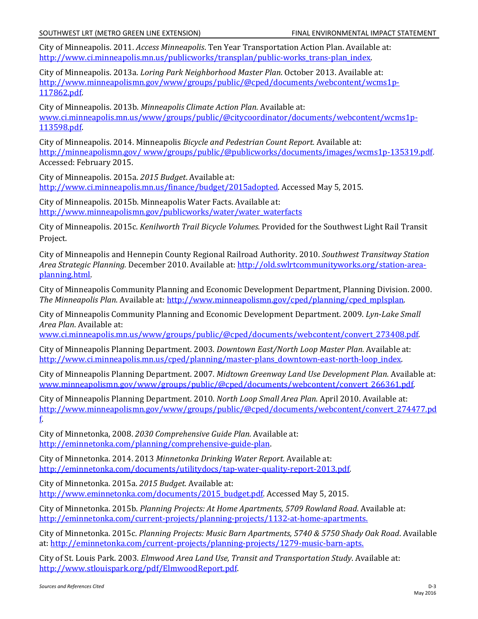City of Minneapolis. 2011. *Access Minneapolis*. Ten Year Transportation Action Plan. Available at: [http://www.ci.minneapolis.mn.us/publicworks/transplan/public-works\\_trans-plan\\_index.](http://www.ci.minneapolis.mn.us/publicworks/transplan/public-works_trans-plan_index)

City of Minneapolis. 2013a. *Loring Park Neighborhood Master Plan*. October 2013. Available at: [http://www.minneapolismn.gov/www/groups/public/@cped/documents/webcontent/wcms1p-](http://www.minneapolismn.gov/www/groups/public/@cped/documents/webcontent/wcms1p-117862.pdf)[117862.pdf.](http://www.minneapolismn.gov/www/groups/public/@cped/documents/webcontent/wcms1p-117862.pdf)

City of Minneapolis. 2013b. *Minneapolis Climate Action Plan.* Available at: [www.ci.minneapolis.mn.us/www/groups/public/@citycoordinator/documents/webcontent/wcms1p-](http://www.ci.minneapolis.mn.us/www/groups/public/@citycoordinator/documents/webcontent/wcms1p-113598.pdf)[113598.pdf.](http://www.ci.minneapolis.mn.us/www/groups/public/@citycoordinator/documents/webcontent/wcms1p-113598.pdf)

City of Minneapolis. 2014. Minneapolis *Bicycle and Pedestrian Count Report.* Available at: [http://minneapolismn.gov/ www/groups/public/@publicworks/documents/images/wcms1p-135319.pdf.](http://minneapolismn.gov/%20www/groups/public/@publicworks/documents/images/wcms1p-135319.pdf) Accessed: February 2015.

City of Minneapolis. 2015a. *2015 Budget*. Available at: [http://www.ci.minneapolis.mn.us/finance/budget/2015adopted.](http://www.ci.minneapolis.mn.us/finance/budget/2015adopted) Accessed May 5, 2015.

City of Minneapolis. 2015b. Minneapolis Water Facts. Available at: [http://www.minneapolismn.gov/publicworks/water/water\\_waterfacts](http://www.minneapolismn.gov/publicworks/water/water_waterfacts)

City of Minneapolis. 2015c. *Kenilworth Trail Bicycle Volumes*. Provided for the Southwest Light Rail Transit Project.

City of Minneapolis and Hennepin County Regional Railroad Authority. 2010. *Southwest Transitway Station Area Strategic Planning.* December 2010. Available at: [http://old.swlrtcommunityworks.org/station-area](http://old.swlrtcommunityworks.org/station-area-planning.html)[planning.html.](http://old.swlrtcommunityworks.org/station-area-planning.html)

City of Minneapolis Community Planning and Economic Development Department, Planning Division. 2000. *The Minneapolis Plan*. Available at: [http://www.minneapolismn.gov/cped/planning/cped\\_mplsplan.](http://www.minneapolismn.gov/cped/planning/cped_mplsplan) 

City of Minneapolis Community Planning and Economic Development Department. 2009. *Lyn-Lake Small Area Plan*. Available at:

[www.ci.minneapolis.mn.us/www/groups/public/@cped/documents/webcontent/convert\\_273408.pdf.](http://www.ci.minneapolis.mn.us/www/groups/public/@cped/documents/webcontent/convert_273408.pdf)

City of Minneapolis Planning Department. 2003. *Downtown East/North Loop Master Plan.* Available at: http://www.ci.minneapolis.mn.us/cped/planning/master-plans\_downtown-east-north-loop\_index.

City of Minneapolis Planning Department. 2007. *Midtown Greenway Land Use Development Plan.* Available at: [www.minneapolismn.gov/www/groups/public/@cped/documents/webcontent/convert\\_266361.pdf.](http://www.minneapolismn.gov/www/groups/public/@cped/documents/webcontent/convert_266361.pdf)

City of Minneapolis Planning Department. 2010. *North Loop Small Area Plan.* April 2010. Available at: [http://www.minneapolismn.gov/www/groups/public/@cped/documents/webcontent/convert\\_274477.pd](http://www.minneapolismn.gov/www/groups/public/@cped/documents/webcontent/convert_274477.pdf) [f.](http://www.minneapolismn.gov/www/groups/public/@cped/documents/webcontent/convert_274477.pdf)

City of Minnetonka, 2008. *2030 Comprehensive Guide Plan.* Available at: [http://eminnetonka.com/planning/comprehensive-guide-plan.](http://eminnetonka.com/planning/comprehensive-guide-plan)

City of Minnetonka. 2014. 2013 *Minnetonka Drinking Water Report.* Available at: [http://eminnetonka.com/documents/utilitydocs/tap-water-quality-report-2013.pdf.](http://eminnetonka.com/documents/utilitydocs/tap-water-quality-report-2013.pdf)

City of Minnetonka. 2015a. *2015 Budget.* Available at: [http://www.eminnetonka.com/documents/2015\\_budget.pdf.](http://www.eminnetonka.com/documents/2015_budget.pdf) Accessed May 5, 2015.

City of Minnetonka. 2015b. *Planning Projects: At Home Apartments, 5709 Rowland Road*. Available at: [http://eminnetonka.com/current-projects/planning-projects/1132-at-home-apartments.](http://eminnetonka.com/current-projects/planning-projects/1132-at-home-apartments) 

City of Minnetonka. 2015c. *Planning Projects: Music Barn Apartments, 5740 & 5750 Shady Oak Road*. Available at: [http://eminnetonka.com/current-projects/planning-projects/1279-music-barn-apts.](http://eminnetonka.com/current-projects/planning-projects/1279-music-barn-apts)

City of St. Louis Park. 2003. *Elmwood Area Land Use, Transit and Transportation Study*. Available at: [http://www.stlouispark.org/pdf/ElmwoodReport.pdf.](http://www.stlouispark.org/pdf/ElmwoodReport.pdf)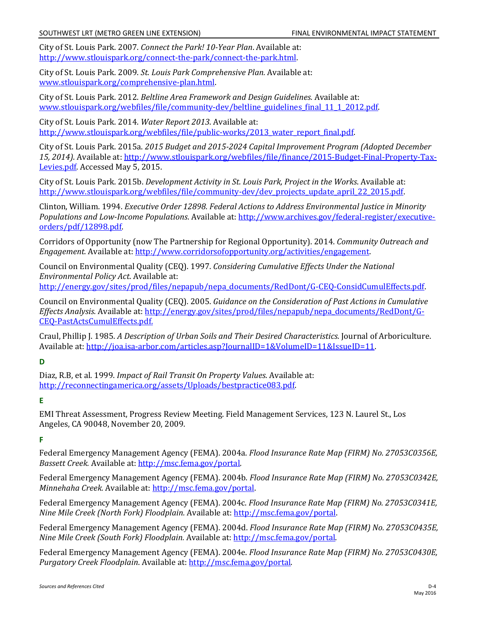City of St. Louis Park. 2007. *Connect the Park! 10-Year Plan*. Available at: [http://www.stlouispark.org/connect-the-park/connect-the-park.html.](http://www.stlouispark.org/connect-the-park/connect-the-park.html)

City of St. Louis Park. 2009. *St. Louis Park Comprehensive Plan.* Available at: [www.stlouispark.org/comprehensive-plan.html.](http://www.stlouispark.org/comprehensive-plan.html)

City of St. Louis Park. 2012. *Beltline Area Framework and Design Guidelines.* Available at: [www.stlouispark.org/webfiles/file/community-dev/beltline\\_guidelines\\_final\\_11\\_1\\_2012.pdf.](http://www.stlouispark.org/webfiles/file/community-dev/beltline_guidelines_final_11_1_2012.pdf)

City of St. Louis Park. 2014. *Water Report 2013*. Available at: http://www.stlouispark.org/webfiles/file/public-works/2013\_water\_report\_final.pdf.

City of St. Louis Park. 2015a. *2015 Budget and 2015-2024 Capital Improvement Program (Adopted December 15, 2014)*. Available at: [http://www.stlouispark.org/webfiles/file/finance/2015-Budget-Final-Property-Tax-](http://www.stlouispark.org/webfiles/file/finance/2015-Budget-Final-Property-Tax-Levies.pdf)[Levies.pdf.](http://www.stlouispark.org/webfiles/file/finance/2015-Budget-Final-Property-Tax-Levies.pdf) Accessed May 5, 2015.

City of St. Louis Park. 2015b. *Development Activity in St. Louis Park, Project in the Works*. Available at: [http://www.stlouispark.org/webfiles/file/community-dev/dev\\_projects\\_update\\_april\\_22\\_2015.pdf.](http://www.stlouispark.org/webfiles/file/community-dev/dev_projects_update_april_22_2015.pdf)

Clinton, William. 1994. *Executive Order 12898. Federal Actions to Address Environmental Justice in Minority Populations and Low-Income Populations*. Available at[: http://www.archives.gov/federal-register/executive](http://www.archives.gov/federal-register/executive-orders/pdf/12898.pdf)[orders/pdf/12898.pdf.](http://www.archives.gov/federal-register/executive-orders/pdf/12898.pdf)

Corridors of Opportunity (now The Partnership for Regional Opportunity). 2014. *Community Outreach and Engagement.* Available at: [http://www.corridorsofopportunity.org/activities/engagement.](http://www.corridorsofopportunity.org/activities/engagement)

Council on Environmental Quality (CEQ). 1997. *Considering Cumulative Effects Under the National Environmental Policy Act*. Available at: [http://energy.gov/sites/prod/files/nepapub/nepa\\_documents/RedDont/G-CEQ-ConsidCumulEffects.pdf.](http://energy.gov/sites/prod/files/nepapub/nepa_documents/RedDont/G-CEQ-ConsidCumulEffects.pdf)

Council on Environmental Quality (CEQ)*.* 2005. *Guidance on the Consideration of Past Actions in Cumulative Effects Analysis.* Available at: [http://energy.gov/sites/prod/files/nepapub/nepa\\_documents/RedDont/G-](http://energy.gov/sites/prod/files/nepapub/nepa_documents/RedDont/G-CEQ-PastActsCumulEffects.pdf)

[CEQ-PastActsCumulEffects.pdf.](http://energy.gov/sites/prod/files/nepapub/nepa_documents/RedDont/G-CEQ-PastActsCumulEffects.pdf) Craul, Phillip J. 1985. *A Description of Urban Soils and Their Desired Characteristics.* Journal of Arboriculture. Available at: [http://joa.isa-arbor.com/articles.asp?JournalID=1&VolumeID=11&IssueID=11.](http://joa.isa-arbor.com/articles.asp?JournalID=1&VolumeID=11&IssueID=11)

**D**

Diaz, R.B, et al. 1999. *Impact of Rail Transit On Property Values*. Available at: [http://reconnectingamerica.org/assets/Uploads/bestpractice083.pdf.](http://reconnectingamerica.org/assets/Uploads/bestpractice083.pdf)

**E**

EMI Threat Assessment, Progress Review Meeting. Field Management Services, 123 N. Laurel St., Los Angeles, CA 90048, November 20, 2009.

**F**

Federal Emergency Management Agency (FEMA). 2004a. *Flood Insurance Rate Map (FIRM) No. 27053C0356E, Bassett Creek.* Available at: [http://msc.fema.gov/portal.](http://msc.fema.gov/portal) 

Federal Emergency Management Agency (FEMA). 2004b. *Flood Insurance Rate Map (FIRM) No. 27053C0342E, Minnehaha Creek.* Available at: [http://msc.fema.gov/portal.](http://msc.fema.gov/portal)

Federal Emergency Management Agency (FEMA). 2004c. *Flood Insurance Rate Map (FIRM) No. 27053C0341E, Nine Mile Creek (North Fork) Floodplain.* Available at: [http://msc.fema.gov/portal.](http://msc.fema.gov/portal) 

Federal Emergency Management Agency (FEMA). 2004d. *Flood Insurance Rate Map (FIRM) No. 27053C0435E, Nine Mile Creek (South Fork) Floodplain.* Available at: [http://msc.fema.gov/portal.](http://msc.fema.gov/portal)

Federal Emergency Management Agency (FEMA). 2004e. *Flood Insurance Rate Map (FIRM) No. 27053C0430E, Purgatory Creek Floodplain*. Available at: [http://msc.fema.gov/portal.](http://msc.fema.gov/portal)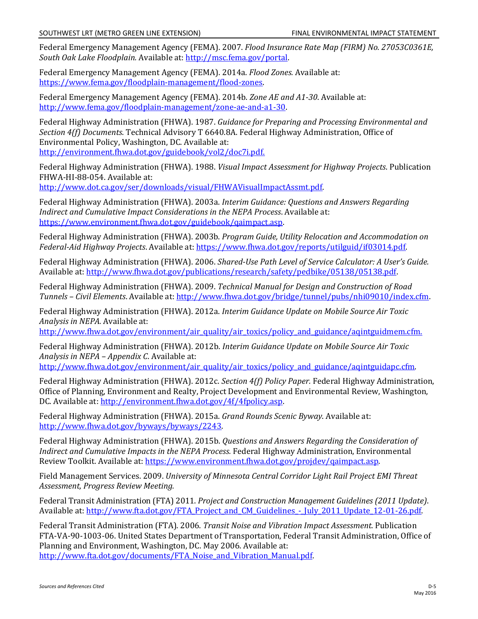Federal Emergency Management Agency (FEMA). 2007. *Flood Insurance Rate Map (FIRM) No. 27053C0361E, South Oak Lake Floodplain.* Available at: [http://msc.fema.gov/portal.](http://msc.fema.gov/portal) 

Federal Emergency Management Agency (FEMA). 2014a. *Flood Zones.* Available at: [https://www.fema.gov/floodplain-management/flood-zones.](https://www.fema.gov/floodplain-management/flood-zones) 

Federal Emergency Management Agency (FEMA). 2014b. *Zone AE and A1-30*. Available at: [http://www.fema.gov/floodplain-management/zone-ae-and-a1-30.](http://www.fema.gov/floodplain-management/zone-ae-and-a1-30)

Federal Highway Administration (FHWA). 1987. *Guidance for Preparing and Processing Environmental and Section 4(f) Documents*. Technical Advisory T 6640.8A. Federal Highway Administration, Office of Environmental Policy, Washington, DC. Available at:

[http://environment.fhwa.dot.gov/guidebook/vol2/doc7i.pdf.](http://environment.fhwa.dot.gov/guidebook/vol2/doc7i.pdf)

Federal Highway Administration (FHWA). 1988. *Visual Impact Assessment for Highway Projects*. Publication FHWA-HI-88-054. Available at:

[http://www.dot.ca.gov/ser/downloads/visual/FHWAVisualImpactAssmt.pdf.](http://www.dot.ca.gov/ser/downloads/visual/FHWAVisualImpactAssmt.pdf)

Federal Highway Administration (FHWA). 2003a. *Interim Guidance: Questions and Answers Regarding Indirect and Cumulative Impact Considerations in the NEPA Process*. Available at: [https://www.environment.fhwa.dot.gov/guidebook/qaimpact.asp.](https://www.environment.fhwa.dot.gov/guidebook/qaimpact.asp)

Federal Highway Administration (FHWA). 2003b. *Program Guide, Utility Relocation and Accommodation on Federal-Aid Highway Projects*. Available at: [https://www.fhwa.dot.gov/reports/utilguid/if03014.pdf.](https://www.fhwa.dot.gov/reports/utilguid/if03014.pdf)

Federal Highway Administration (FHWA). 2006. *Shared-Use Path Level of Service Calculator: A User's Guide.* Available at: [http://www.fhwa.dot.gov/publications/research/safety/pedbike/05138/05138.pdf.](http://www.fhwa.dot.gov/publications/research/safety/pedbike/05138/05138.pdf)

Federal Highway Administration (FHWA). 2009. *Technical Manual for Design and Construction of Road Tunnels – Civil Elements*. Available at: [http://www.fhwa.dot.gov/bridge/tunnel/pubs/nhi09010/index.cfm.](http://www.fhwa.dot.gov/bridge/tunnel/pubs/nhi09010/index.cfm)

Federal Highway Administration (FHWA). 2012a. *Interim Guidance Update on Mobile Source Air Toxic Analysis in NEPA.* Available at:

[http://www.fhwa.dot.gov/environment/air\\_quality/air\\_toxics/policy\\_and\\_guidance/aqintguidmem.cfm.](http://www.fhwa.dot.gov/environment/air_quality/air_toxics/policy_and_guidance/aqintguidmem.cfm)

Federal Highway Administration (FHWA). 2012b. *Interim Guidance Update on Mobile Source Air Toxic Analysis in NEPA – Appendix C*. Available at:

http://www.fhwa.dot.gov/environment/air\_quality/air\_toxics/policy\_and\_guidance/aqintguidapc.cfm.

Federal Highway Administration (FHWA). 2012c. *Section 4(f) Policy Paper.* Federal Highway Administration, Office of Planning, Environment and Realty, Project Development and Environmental Review, Washington, DC. Available at: [http://environment.fhwa.dot.gov/4f/4fpolicy.asp.](http://environment.fhwa.dot.gov/4f/4fpolicy.asp) 

Federal Highway Administration (FHWA). 2015a. *Grand Rounds Scenic Byway*. Available at: [http://www.fhwa.dot.gov/byways/byways/2243.](http://www.fhwa.dot.gov/byways/byways/2243)

Federal Highway Administration (FHWA). 2015b. *Questions and Answers Regarding the Consideration of Indirect and Cumulative Impacts in the NEPA Process.* Federal Highway Administration, Environmental Review Toolkit. Available at: [https://www.environment.fhwa.dot.gov/projdev/qaimpact.asp.](https://www.environment.fhwa.dot.gov/projdev/qaimpact.asp)

Field Management Services. 2009. *University of Minnesota Central Corridor Light Rail Project EMI Threat Assessment, Progress Review Meeting.*

Federal Transit Administration (FTA) 2011. *Project and Construction Management Guidelines (2011 Update)*. Available at: [http://www.fta.dot.gov/FTA\\_Project\\_and\\_CM\\_Guidelines\\_-\\_July\\_2011\\_Update\\_12-01-26.pdf.](http://www.fta.dot.gov/FTA_Project_and_CM_Guidelines_-_July_2011_Update_12-01-26.pdf)

Federal Transit Administration (FTA). 2006. *Transit Noise and Vibration Impact Assessment.* Publication FTA-VA-90-1003-06. United States Department of Transportation, Federal Transit Administration, Office of Planning and Environment, Washington, DC. May 2006. Available at: [http://www.fta.dot.gov/documents/FTA\\_Noise\\_and\\_Vibration\\_Manual.pdf.](http://www.fta.dot.gov/documents/FTA_Noise_and_Vibration_Manual.pdf)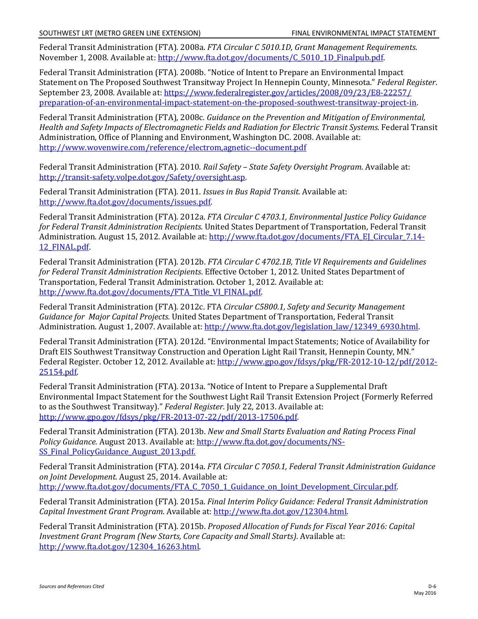Federal Transit Administration (FTA). 2008a. *FTA Circular C 5010.1D, Grant Management Requirements*. November 1, 2008. Available at: [http://www.fta.dot.gov/documents/C\\_5010\\_1D\\_Finalpub.pdf.](http://www.fta.dot.gov/documents/C_5010_1D_Finalpub.pdf)

Federal Transit Administration (FTA). 2008b. "Notice of Intent to Prepare an Environmental Impact Statement on The Proposed Southwest Transitway Project In Hennepin County, Minnesota." *Federal Register*. September 23, 2008. Available at: [https://www.federalregister.gov/articles/2008/09/23/E8-22257/](https://www.federalregister.gov/articles/2008/09/23/E8-22257/preparation-of-an-environmental-impact-statement-on-the-proposed-southwest-transitway-project-in) [preparation-of-an-environmental-impact-statement-on-the-proposed-southwest-transitway-project-in.](https://www.federalregister.gov/articles/2008/09/23/E8-22257/preparation-of-an-environmental-impact-statement-on-the-proposed-southwest-transitway-project-in)

Federal Transit Administration (FTA), 2008c*. Guidance on the Prevention and Mitigation of Environmental, Health and Safety Impacts of Electromagnetic Fields and Radiation for Electric Transit Systems*. Federal Transit Administration, Office of Planning and Environment, Washington DC. 2008. Available at: <http://www.wovenwire.com/reference/electrom,agnetic--document.pdf>

Federal Transit Administration (FTA). 2010. *Rail Safety – State Safety Oversight Program*. Available at: [http://transit-safety.volpe.dot.gov/Safety/oversight.asp.](http://transit-safety.volpe.dot.gov/Safety/oversight.asp)

Federal Transit Administration (FTA). 2011. *Issues in Bus Rapid Transit*. Available at: [http://www.fta.dot.gov/documents/issues.pdf.](http://www.fta.dot.gov/documents/issues.pdf)

Federal Transit Administration (FTA). 2012a. *FTA Circular C 4703.1, Environmental Justice Policy Guidance for Federal Transit Administration Recipients.* United States Department of Transportation, Federal Transit Administration. August 15, 2012. Available at: [http://www.fta.dot.gov/documents/FTA\\_EJ\\_Circular\\_7.14-](http://www.fta.dot.gov/documents/FTA_EJ_Circular_7.14-12_FINAL.pdf) [12\\_FINAL.pdf.](http://www.fta.dot.gov/documents/FTA_EJ_Circular_7.14-12_FINAL.pdf)

Federal Transit Administration (FTA). 2012b. *FTA Circular C 4702.1B, Title VI Requirements and Guidelines for Federal Transit Administration Recipients*. Effective October 1, 2012*.* United States Department of Transportation, Federal Transit Administration. October 1, 2012. Available at: [http://www.fta.dot.gov/documents/FTA\\_Title\\_VI\\_FINAL.pdf.](http://www.fta.dot.gov/documents/FTA_Title_VI_FINAL.pdf) 

Federal Transit Administration (FTA). 2012c. FTA *Circular C5800.1, Safety and Security Management Guidance for Major Capital Projects.* United States Department of Transportation, Federal Transit Administration. August 1, 2007. Available at: [http://www.fta.dot.gov/legislation\\_law/12349\\_6930.html.](http://www.fta.dot.gov/legislation_law/12349_6930.html)

Federal Transit Administration (FTA). 2012d. "Environmental Impact Statements; Notice of Availability for Draft EIS Southwest Transitway Construction and Operation Light Rail Transit, Hennepin County, MN." Federal Register. October 12, 2012. Available at: [http://www.gpo.gov/fdsys/pkg/FR-2012-10-12/pdf/2012-](http://www.gpo.gov/fdsys/pkg/FR-2012-10-12/pdf/2012-25154.pdf) [25154.pdf.](http://www.gpo.gov/fdsys/pkg/FR-2012-10-12/pdf/2012-25154.pdf)

Federal Transit Administration (FTA). 2013a. "Notice of Intent to Prepare a Supplemental Draft Environmental Impact Statement for the Southwest Light Rail Transit Extension Project (Formerly Referred to as the Southwest Transitway)." *Federal Register*. July 22, 2013. Available at: [http://www.gpo.gov/fdsys/pkg/FR-2013-07-22/pdf/2013-17506.pdf.](http://www.gpo.gov/fdsys/pkg/FR-2013-07-22/pdf/2013-17506.pdf)

Federal Transit Administration (FTA). 2013b. *New and Small Starts Evaluation and Rating Process Final Policy Guidance.* August 2013. Available at: [http://www.fta.dot.gov/documents/NS-](http://www.fta.dot.gov/documents/NS-SS_Final_PolicyGuidance_August_2013.pdf)[SS\\_Final\\_PolicyGuidance\\_August\\_2013.pdf.](http://www.fta.dot.gov/documents/NS-SS_Final_PolicyGuidance_August_2013.pdf)

Federal Transit Administration (FTA). 2014a. *FTA Circular C 7050.1, Federal Transit Administration Guidance on Joint Development*. August 25, 2014. Available at: [http://www.fta.dot.gov/documents/FTA\\_C\\_7050\\_1\\_Guidance\\_on\\_Joint\\_Development\\_Circular.pdf.](http://www.fta.dot.gov/documents/FTA_C_7050_1_Guidance_on_Joint_Development_Circular.pdf)

Federal Transit Administration (FTA). 2015a. *Final Interim Policy Guidance: Federal Transit Administration Capital Investment Grant Program.* Available at: [http://www.fta.dot.gov/12304.html.](http://www.fta.dot.gov/12304.html)

Federal Transit Administration (FTA). 2015b. *Proposed Allocation of Funds for Fiscal Year 2016: Capital Investment Grant Program (New Starts, Core Capacity and Small Starts)*. Available at: [http://www.fta.dot.gov/12304\\_16263.html.](http://www.fta.dot.gov/12304_16263.html)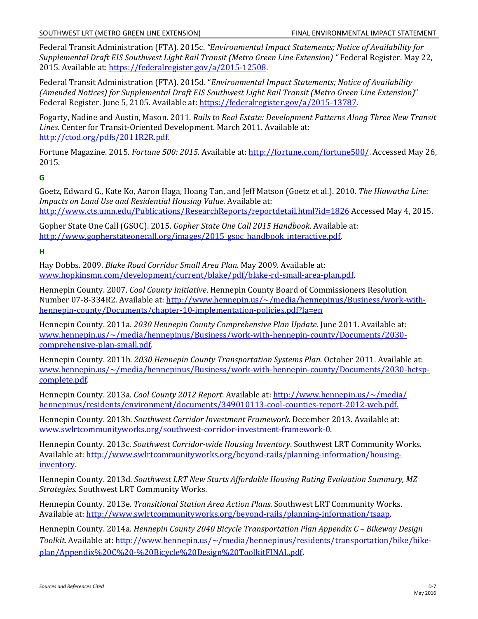Federal Transit Administration (FTA). 2015c. *"Environmental Impact Statements; Notice of Availability for Supplemental Draft EIS Southwest Light Rail Transit (Metro Green Line Extension) "* Federal Register. May 22, 2015. Available at: [https://federalregister.gov/a/2015-12508.](https://federalregister.gov/a/2015-12508)

Federal Transit Administration (FTA). 2015d. "*Environmental Impact Statements; Notice of Availability (Amended Notices) for Supplemental Draft EIS Southwest Light Rail Transit (Metro Green Line Extension)*" Federal Register. June 5, 2105. Available at: [https://federalregister.gov/a/2015-13787.](https://federalregister.gov/a/2015-13787)

Fogarty, Nadine and Austin, Mason. 2011. *Rails to Real Estate: Development Patterns Along Three New Transit Lines*. Center for Transit-Oriented Development. March 2011. Available at: [http://ctod.org/pdfs/2011R2R.pdf.](http://ctod.org/pdfs/2011R2R.pdf) 

Fortune Magazine. 2015. *Fortune 500: 2015.* Available at[: http://fortune.com/fortune500/.](http://fortune.com/fortune500/) Accessed May 26, 2015.

## **G**

Goetz, Edward G., Kate Ko, Aaron Haga, Hoang Tan, and Jeff Matson (Goetz et al.). 2010. *The Hiawatha Line: Impacts on Land Use and Residential Housing Value.* Available at: <http://www.cts.umn.edu/Publications/ResearchReports/reportdetail.html?id=1826> Accessed May 4, 2015.

Gopher State One Call (GSOC). 2015. *Gopher State One Call 2015 Handbook*. Available at: http://www.gopherstateonecall.org/images/2015\_gsoc\_handbook\_interactive.pdf

**H**

Hay Dobbs. 2009. *Blake Road Corridor Small Area Plan.* May 2009. Available at: [www.hopkinsmn.com/development/current/blake/pdf/blake-rd-small-area-plan.pdf.](http://www.hopkinsmn.com/development/current/blake/pdf/blake-rd-small-area-plan.pdf)

Hennepin County. 2007. *Cool County Initiative*. Hennepin County Board of Commissioners Resolution Number 07-8-334R2. Available at: [http://www.hennepin.us/~/media/hennepinus/Business/work-with](http://www.hennepin.us/%7E/media/hennepinus/Business/work-with-hennepin-county/Documents/chapter-10-implementation-policies.pdf?la=en)[hennepin-county/Documents/chapter-10-implementation-policies.pdf?la=en](http://www.hennepin.us/%7E/media/hennepinus/Business/work-with-hennepin-county/Documents/chapter-10-implementation-policies.pdf?la=en)

Hennepin County. 2011a. *2030 Hennepin County Comprehensive Plan Update.* June 2011. Available at: [www.hennepin.us/~/media/hennepinus/Business/work-with-hennepin-county/Documents/2030](http://www.hennepin.us/%7E/media/hennepinus/Business/work-with-hennepin-county/Documents/2030-comprehensive-plan-small.pdf) [comprehensive-plan-small.pdf.](http://www.hennepin.us/%7E/media/hennepinus/Business/work-with-hennepin-county/Documents/2030-comprehensive-plan-small.pdf)

Hennepin County. 2011b. *2030 Hennepin County Transportation Systems Plan.* October 2011. Available at: [www.hennepin.us/~/media/hennepinus/Business/work-with-hennepin-county/Documents/2030-hctsp](http://www.hennepin.us/%7E/media/hennepinus/Business/work-with-hennepin-county/Documents/2030-hctsp-complete.pdf)[complete.pdf.](http://www.hennepin.us/%7E/media/hennepinus/Business/work-with-hennepin-county/Documents/2030-hctsp-complete.pdf)

Hennepin County. 2013a. *Cool County 2012 Report*. Available at: [http://www.hennepin.us/~/media/](http://www.hennepin.us/%7E/media/%20hennepinus/residents/environment/documents/349010113-cool-counties-report-2012-web.pdf)  [hennepinus/residents/environment/documents/349010113-cool-counties-report-2012-web.pdf.](http://www.hennepin.us/%7E/media/%20hennepinus/residents/environment/documents/349010113-cool-counties-report-2012-web.pdf)

Hennepin County. 2013b. *Southwest Corridor Investment Framework.* December 2013. Available at: [www.swlrtcommunityworks.org/southwest-corridor-investment-framework-0.](http://www.swlrtcommunityworks.org/southwest-corridor-investment-framework-0)

Hennepin County. 2013c. *Southwest Corridor-wide Housing Inventory*. Southwest LRT Community Works. Available at: [http://www.swlrtcommunityworks.org/beyond-rails/planning-information/housing](http://www.swlrtcommunityworks.org/beyond-rails/planning-information/housing-inventory)[inventory.](http://www.swlrtcommunityworks.org/beyond-rails/planning-information/housing-inventory) 

Hennepin County. 2013d. *Southwest LRT New Starts Affordable Housing Rating Evaluation Summary, MZ Strategies*. Southwest LRT Community Works.

Hennepin County. 2013e. *Transitional Station Area Action Plans*. Southwest LRT Community Works. Available at: [http://www.swlrtcommunityworks.org/beyond-rails/planning-information/tsaap.](http://www.swlrtcommunityworks.org/beyond-rails/planning-information/tsaap)

Hennepin County. 2014a. *Hennepin County 2040 Bicycle Transportation Plan Appendix C – Bikeway Design Toolkit.* Available at: [http://www.hennepin.us/~/media/hennepinus/residents/transportation/bike/bike](http://www.hennepin.us/%7E/media/hennepinus/residents/transportation/bike/bike-plan/Appendix%20C%20-%20Bicycle%20Design%20ToolkitFINAL.pdf)[plan/Appendix%20C%20-%20Bicycle%20Design%20ToolkitFINAL.pdf.](http://www.hennepin.us/%7E/media/hennepinus/residents/transportation/bike/bike-plan/Appendix%20C%20-%20Bicycle%20Design%20ToolkitFINAL.pdf)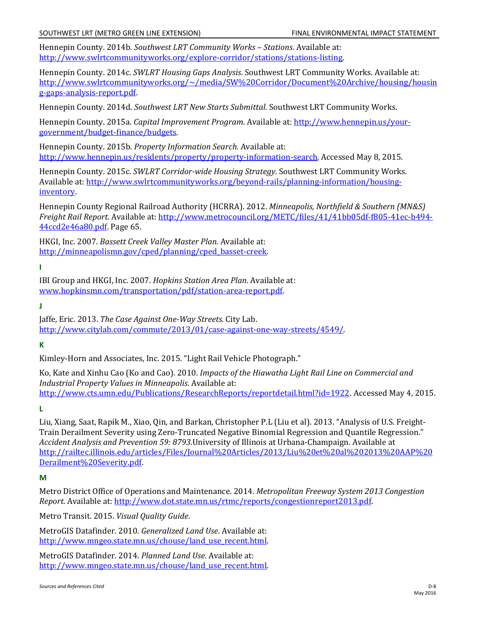Hennepin County. 2014b. *Southwest LRT Community Works – Stations*. Available at: [http://www.swlrtcommunityworks.org/explore-corridor/stations/stations-listing.](http://www.swlrtcommunityworks.org/explore-corridor/stations/stations-listing)

Hennepin County. 2014c. *SWLRT Housing Gaps Analysis*. Southwest LRT Community Works. Available at: [http://www.swlrtcommunityworks.org/~/media/SW%20Corridor/Document%20Archive/housing/housin](http://www.swlrtcommunityworks.org/%7E/media/SW%20Corridor/Document%20Archive/housing/housing-gaps-analysis-report.pdf) [g-gaps-analysis-report.pdf.](http://www.swlrtcommunityworks.org/%7E/media/SW%20Corridor/Document%20Archive/housing/housing-gaps-analysis-report.pdf)

Hennepin County. 2014d. *Southwest LRT New Starts Submittal.* Southwest LRT Community Works.

Hennepin County. 2015a. *Capital Improvement Program*. Available at: [http://www.hennepin.us/your](http://www.hennepin.us/your-government/budget-finance/budgets)[government/budget-finance/budgets.](http://www.hennepin.us/your-government/budget-finance/budgets) 

Hennepin County. 2015b. *Property Information Search.* Available at: [http://www.hennepin.us/residents/property/property-information-search.](http://www.hennepin.us/residents/property/property-information-search) Accessed May 8, 2015.

Hennepin County. 2015c. *SWLRT Corridor-wide Housing Strategy*. Southwest LRT Community Works. Available at: [http://www.swlrtcommunityworks.org/beyond-rails/planning-information/housing](http://www.swlrtcommunityworks.org/beyond-rails/planning-information/housing-inventory)[inventory.](http://www.swlrtcommunityworks.org/beyond-rails/planning-information/housing-inventory)

Hennepin County Regional Railroad Authority (HCRRA). 2012. *Minneapolis, Northfield & Southern (MN&S) Freight Rail Report.* Available at: [http://www.metrocouncil.org/METC/files/41/41bb05df-f805-41ec-b494-](http://www.metrocouncil.org/METC/files/41/41bb05df-f805-41ec-b494-44ccd2e46a80.pdf) [44ccd2e46a80.pdf.](http://www.metrocouncil.org/METC/files/41/41bb05df-f805-41ec-b494-44ccd2e46a80.pdf) Page 65.

HKGI, Inc. 2007. *Bassett Creek Valley Master Plan.* Available at: [http://minneapolismn.gov/cped/planning/cped\\_basset-creek.](http://minneapolismn.gov/cped/planning/cped_basset-creek)

**I**

IBI Group and HKGI, Inc. 2007. *Hopkins Station Area Plan*. Available at: [www.hopkinsmn.com/transportation/pdf/station-area-report.pdf.](http://www.hopkinsmn.com/transportation/pdf/station-area-report.pdf)

**J**

Jaffe, Eric. 2013. *The Case Against One-Way Streets*. City Lab. [http://www.citylab.com/commute/2013/01/case-against-one-way-streets/4549/.](http://www.citylab.com/commute/2013/01/case-against-one-way-streets/4549/) 

**K**

Kimley-Horn and Associates, Inc. 2015. "Light Rail Vehicle Photograph."

Ko, Kate and Xinhu Cao (Ko and Cao). 2010. *Impacts of the Hiawatha Light Rail Line on Commercial and Industrial Property Values in Minneapolis*. Available at: <http://www.cts.umn.edu/Publications/ResearchReports/reportdetail.html?id=1922>. Accessed May 4, 2015.

**L**

Liu, Xiang, Saat, Rapik M., Xiao, Qin, and Barkan, Christopher P.L (Liu et al). 2013. ["Analysis of U.S. Freight-](http://railtec.illinois.edu/CEE/pdf/Journal%20Papers/2013/Liu%20et%20al%202013%20AAP%20Derailment%20Severity.pdf)[Train Derailment Severity using Zero-Truncated Negative Binomial Regression and Quantile Regression."](http://railtec.illinois.edu/CEE/pdf/Journal%20Papers/2013/Liu%20et%20al%202013%20AAP%20Derailment%20Severity.pdf) *Accident Analysis and Prevention 59: 8793*.University of Illinois at Urbana-Champaign. Available at [http://railtec.illinois.edu/articles/Files/Journal%20Articles/2013/Liu%20et%20al%202013%20AAP%20](http://railtec.illinois.edu/articles/Files/Journal%20Articles/2013/Liu%20et%20al%202013%20AAP%20Derailment%20Severity.pdf) [Derailment%20Severity.pdf.](http://railtec.illinois.edu/articles/Files/Journal%20Articles/2013/Liu%20et%20al%202013%20AAP%20Derailment%20Severity.pdf)

**M**

Metro District Office of Operations and Maintenance. 2014. *Metropolitan Freeway System 2013 Congestion Report*. Available at[: http://www.dot.state.mn.us/rtmc/reports/congestionreport2013.pdf.](http://www.dot.state.mn.us/rtmc/reports/congestionreport2013.pdf)

Metro Transit. 2015. *Visual Quality Guide*.

MetroGIS Datafinder. 2010. *Generalized Land Use*. Available at: [http://www.mngeo.state.mn.us/chouse/land\\_use\\_recent.html.](http://www.mngeo.state.mn.us/chouse/land_use_recent.html)

MetroGIS Datafinder. 2014. *Planned Land Use*. Available at: [http://www.mngeo.state.mn.us/chouse/land\\_use\\_recent.html.](http://www.mngeo.state.mn.us/chouse/land_use_recent.html)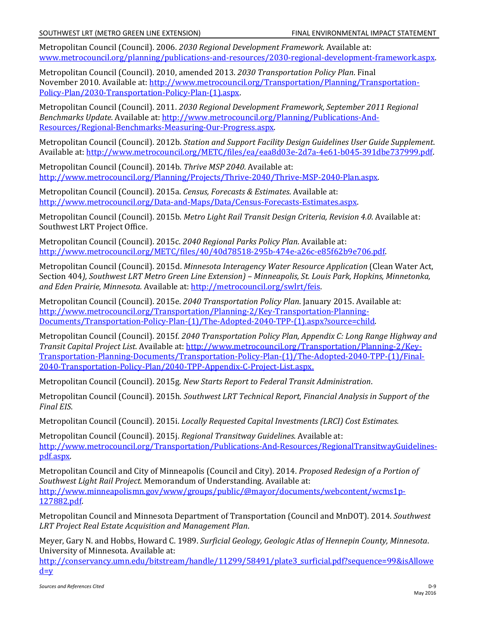Metropolitan Council (Council). 2006. *2030 Regional Development Framework.* Available at: [www.metrocouncil.org/planning/publications-and-resources/2030-regional-development-framework.aspx.](http://www.metrocouncil.org/planning/publications-and-resources/2030-regional-development-framework.aspx)

Metropolitan Council (Council). 2010, amended 2013. *2030 Transportation Policy Plan*. Final November 2010. Available at[: http://www.metrocouncil.org/Transportation/Planning/Transportation-](http://www.metrocouncil.org/Transportation/Planning/Transportation-Policy-Plan/2030-Transportation-Policy-Plan-(1).aspx)[Policy-Plan/2030-Transportation-Policy-Plan-\(1\).aspx.](http://www.metrocouncil.org/Transportation/Planning/Transportation-Policy-Plan/2030-Transportation-Policy-Plan-(1).aspx)

Metropolitan Council (Council). 2011. *2030 Regional Development Framework, September 2011 Regional Benchmarks Update.* Available at[: http://www.metrocouncil.org/Planning/Publications-And-](http://www.metrocouncil.org/Planning/Publications-And-Resources/Regional-Benchmarks-Measuring-Our-Progress.aspx)[Resources/Regional-Benchmarks-Measuring-Our-Progress.aspx.](http://www.metrocouncil.org/Planning/Publications-And-Resources/Regional-Benchmarks-Measuring-Our-Progress.aspx)

Metropolitan Council (Council). 2012b. *Station and Support Facility Design Guidelines User Guide Supplement*. Available at: [http://www.metrocouncil.org/METC/files/ea/eaa8d03e-2d7a-4e61-b045-391dbe737999.pdf.](http://www.metrocouncil.org/METC/files/ea/eaa8d03e-2d7a-4e61-b045-391dbe737999.pdf) 

Metropolitan Council (Council). 2014b. *Thrive MSP 2040.* Available at: [http://www.metrocouncil.org/Planning/Projects/Thrive-2040/Thrive-MSP-2040-Plan.aspx.](http://www.metrocouncil.org/Planning/Projects/Thrive-2040/Thrive-MSP-2040-Plan.aspx)

Metropolitan Council (Council). 2015a. *Census, Forecasts & Estimates*. Available at: [http://www.metrocouncil.org/Data-and-Maps/Data/Census-Forecasts-Estimates.aspx.](http://www.metrocouncil.org/Data-and-Maps/Data/Census-Forecasts-Estimates.aspx) 

Metropolitan Council (Council). 2015b. *Metro Light Rail Transit Design Criteria, Revision 4.0*. Available at: Southwest LRT Project Office.

Metropolitan Council (Council). 2015c. *2040 Regional Parks Policy Plan*. Available at: [http://www.metrocouncil.org/METC/files/40/40d78518-295b-474e-a26c-e85f62b9e706.pdf.](http://www.metrocouncil.org/METC/files/40/40d78518-295b-474e-a26c-e85f62b9e706.pdf) 

Metropolitan Council (Council). 2015d. *Minnesota Interagency Water Resource Application* (Clean Water Act, Section 404*), Southwest LRT Metro Green Line Extension) – Minneapolis, St. Louis Park, Hopkins, Minnetonka, and Eden Prairie, Minnesota.* Available at: [http://metrocouncil.org/swlrt/feis.](http://metrocouncil.org/swlrt/feis)

Metropolitan Council (Council). 2015e. *2040 Transportation Policy Plan*. January 2015. Available at: [http://www.metrocouncil.org/Transportation/Planning-2/Key-Transportation-Planning-](http://www.metrocouncil.org/Transportation/Planning-2/Key-Transportation-Planning-Documents/Transportation-Policy-Plan-(1)/The-Adopted-2040-TPP-(1).aspx?source=child)[Documents/Transportation-Policy-Plan-\(1\)/The-Adopted-2040-TPP-\(1\).aspx?source=child.](http://www.metrocouncil.org/Transportation/Planning-2/Key-Transportation-Planning-Documents/Transportation-Policy-Plan-(1)/The-Adopted-2040-TPP-(1).aspx?source=child)

Metropolitan Council (Council). 2015f. *2040 Transportation Policy Plan, Appendix C: Long Range Highway and Transit Capital Project List*. Available at[: http://www.metrocouncil.org/Transportation/Planning-2/Key-](http://www.metrocouncil.org/Transportation/Planning-2/Key-Transportation-Planning-Documents/Transportation-Policy-Plan-(1)/The-Adopted-2040-TPP-(1)/Final-2040-Transportation-Policy-Plan/2040-TPP-Appendix-C-Project-List.aspx)[Transportation-Planning-Documents/Transportation-Policy-Plan-\(1\)/The-Adopted-2040-TPP-\(1\)/Final-](http://www.metrocouncil.org/Transportation/Planning-2/Key-Transportation-Planning-Documents/Transportation-Policy-Plan-(1)/The-Adopted-2040-TPP-(1)/Final-2040-Transportation-Policy-Plan/2040-TPP-Appendix-C-Project-List.aspx)[2040-Transportation-Policy-Plan/2040-TPP-Appendix-C-Project-List.aspx](http://www.metrocouncil.org/Transportation/Planning-2/Key-Transportation-Planning-Documents/Transportation-Policy-Plan-(1)/The-Adopted-2040-TPP-(1)/Final-2040-Transportation-Policy-Plan/2040-TPP-Appendix-C-Project-List.aspx).

Metropolitan Council (Council). 2015g. *New Starts Report to Federal Transit Administration*.

Metropolitan Council (Council). 2015h. *Southwest LRT Technical Report, Financial Analysis in Support of the Final EIS*.

Metropolitan Council (Council). 2015i. *Locally Requested Capital Investments (LRCI) Cost Estimates.*

Metropolitan Council (Council). 2015j. *Regional Transitway Guidelines*. Available at: [http://www.metrocouncil.org/Transportation/Publications-And-Resources/RegionalTransitwayGuidelines](http://www.metrocouncil.org/Transportation/Publications-And-Resources/RegionalTransitwayGuidelines-pdf.aspx)[pdf.aspx.](http://www.metrocouncil.org/Transportation/Publications-And-Resources/RegionalTransitwayGuidelines-pdf.aspx) 

Metropolitan Council and City of Minneapolis (Council and City). 2014. *Proposed Redesign of a Portion of Southwest Light Rail Project*. Memorandum of Understanding. Available at: [http://www.minneapolismn.gov/www/groups/public/@mayor/documents/webcontent/wcms1p-](http://www.minneapolismn.gov/www/groups/public/@mayor/documents/webcontent/wcms1p-127882.pdf)[127882.pdf.](http://www.minneapolismn.gov/www/groups/public/@mayor/documents/webcontent/wcms1p-127882.pdf) 

Metropolitan Council and Minnesota Department of Transportation (Council and MnDOT). 2014. *Southwest LRT Project Real Estate Acquisition and Management Plan*.

Meyer, Gary N. and Hobbs, Howard C. 1989. *Surficial Geology, Geologic Atlas of Hennepin County, Minnesota*. University of Minnesota. Available at:

[http://conservancy.umn.edu/bitstream/handle/11299/58491/plate3\\_surficial.pdf?sequence=99&isAllowe](http://conservancy.umn.edu/bitstream/handle/11299/58491/plate3_surficial.pdf?sequence=99&isAllowed=y)  $d=v$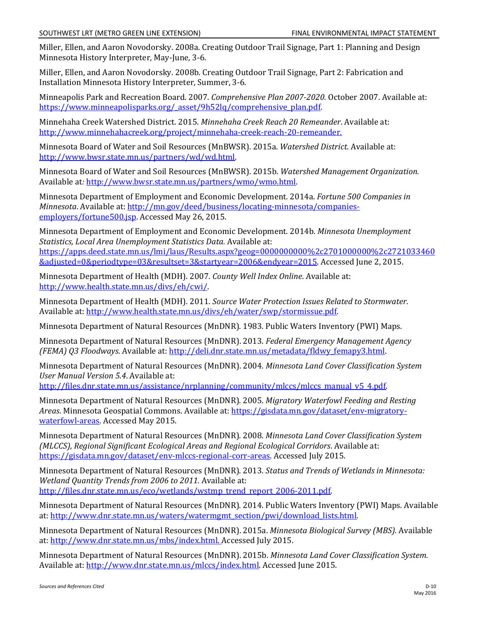Miller, Ellen, and Aaron Novodorsky. 2008a. Creating Outdoor Trail Signage, Part 1: Planning and Design Minnesota History Interpreter, May-June, 3-6.

Miller, Ellen, and Aaron Novodorsky. 2008b. Creating Outdoor Trail Signage, Part 2: Fabrication and Installation Minnesota History Interpreter, Summer, 3-6.

Minneapolis Park and Recreation Board. 2007. *Comprehensive Plan 2007-2020.* October 2007. Available at: [https://www.minneapolisparks.org/\\_asset/9h52lq/comprehensive\\_plan.pdf.](https://www.minneapolisparks.org/_asset/9h52lq/comprehensive_plan.pdf)

Minnehaha Creek Watershed District. 2015. *Minnehaha Creek Reach 20 Remeander*. Available at: [http://www.minnehahacreek.org/project/minnehaha-creek-reach-20-remeander.](http://www.minnehahacreek.org/project/minnehaha-creek-reach-20-remeander)

Minnesota Board of Water and Soil Resources (MnBWSR). 2015a. *Watershed District.* Available at: [http://www.bwsr.state.mn.us/partners/wd/wd.html.](http://www.bwsr.state.mn.us/partners/wd/wd.html)

Minnesota Board of Water and Soil Resources (MnBWSR). 2015b. *Watershed Management Organization.*  Available at*:* [http://www.bwsr.state.mn.us/partners/wmo/wmo.html.](http://www.bwsr.state.mn.us/partners/wmo/wmo.html) 

Minnesota Department of Employment and Economic Development. 2014a. *Fortune 500 Companies in Minnesota*. Available at: [http://mn.gov/deed/business/locating-minnesota/companies](http://mn.gov/deed/business/locating-minnesota/companies-employers/fortune500.jsp)[employers/fortune500.jsp.](http://mn.gov/deed/business/locating-minnesota/companies-employers/fortune500.jsp) Accessed May 26, 2015.

Minnesota Department of Employment and Economic Development. 2014b. *Minnesota Unemployment Statistics, Local Area Unemployment Statistics Data.* Available at: [https://apps.deed.state.mn.us/lmi/laus/Results.aspx?geog=0000000000%2c2701000000%2c2721033460](https://apps.deed.state.mn.us/lmi/laus/Results.aspx?geog=0000000000%2c2701000000%2c2721033460&adjusted=0&periodtype=03&resultset=3&startyear=2006&endyear=2015) [&adjusted=0&periodtype=03&resultset=3&startyear=2006&endyear=2015.](https://apps.deed.state.mn.us/lmi/laus/Results.aspx?geog=0000000000%2c2701000000%2c2721033460&adjusted=0&periodtype=03&resultset=3&startyear=2006&endyear=2015) Accessed June 2, 2015.

Minnesota Department of Health (MDH). 2007. *County Well Index Online*. Available at: [http://www.health.state.mn.us/divs/eh/cwi/.](http://www.health.state.mn.us/divs/eh/cwi/)

Minnesota Department of Health (MDH). 2011. *Source Water Protection Issues Related to Stormwater*. Available at: [http://www.health.state.mn.us/divs/eh/water/swp/stormissue.pdf.](http://www.health.state.mn.us/divs/eh/water/swp/stormissue.pdf)

Minnesota Department of Natural Resources (MnDNR). 1983. Public Waters Inventory (PWI) Maps.

Minnesota Department of Natural Resources (MnDNR). 2013. *Federal Emergency Management Agency (FEMA) Q3 Floodways*. Available at: [http://deli.dnr.state.mn.us/metadata/fldwy\\_femapy3.html.](http://deli.dnr.state.mn.us/metadata/fldwy_femapy3.html) 

Minnesota Department of Natural Resources (MnDNR). 2004. *Minnesota Land Cover Classification System User Manual Version 5.4*. Available at:

[http://files.dnr.state.mn.us/assistance/nrplanning/community/mlccs/mlccs\\_manual\\_v5\\_4.pdf.](http://files.dnr.state.mn.us/assistance/nrplanning/community/mlccs/mlccs_manual_v5_4.pdf)

Minnesota Department of Natural Resources (MnDNR). 2005. *Migratory Waterfowl Feeding and Resting Areas*. Minnesota Geospatial Commons. Available at[: https://gisdata.mn.gov/dataset/env-migratory](https://gisdata.mn.gov/dataset/env-migratory-waterfowl-areas)[waterfowl-areas.](https://gisdata.mn.gov/dataset/env-migratory-waterfowl-areas) Accessed May 2015.

Minnesota Department of Natural Resources (MnDNR). 2008. *Minnesota Land Cover Classification System (MLCCS)*, *Regional Significant Ecological Areas and Regional Ecological Corridors*. Available at: [https://gisdata.mn.gov/dataset/env-mlccs-regional-corr-areas.](https://gisdata.mn.gov/dataset/env-mlccs-regional-corr-areas) Accessed July 2015.

Minnesota Department of Natural Resources (MnDNR). 2013. *Status and Trends of Wetlands in Minnesota: Wetland Quantity Trends from 2006 to 2011.* Available at: [http://files.dnr.state.mn.us/eco/wetlands/wstmp\\_trend\\_report\\_2006-2011.pdf.](http://files.dnr.state.mn.us/eco/wetlands/wstmp_trend_report_2006-2011.pdf)

Minnesota Department of Natural Resources (MnDNR). 2014. Public Waters Inventory (PWI) Maps. Available at: [http://www.dnr.state.mn.us/waters/watermgmt\\_section/pwi/download\\_lists.html.](http://www.dnr.state.mn.us/waters/watermgmt_section/pwi/download_lists.html)

Minnesota Department of Natural Resources (MnDNR). 2015a. *Minnesota Biological Survey (MBS).* Available at: [http://www.dnr.state.mn.us/mbs/index.html.](http://www.dnr.state.mn.us/mbs/index.html) Accessed July 2015.

Minnesota Department of Natural Resources (MnDNR). 2015b. *Minnesota Land Cover Classification System.*  Available at: [http://www.dnr.state.mn.us/mlccs/index.html.](http://www.dnr.state.mn.us/mlccs/index.html) Accessed June 2015.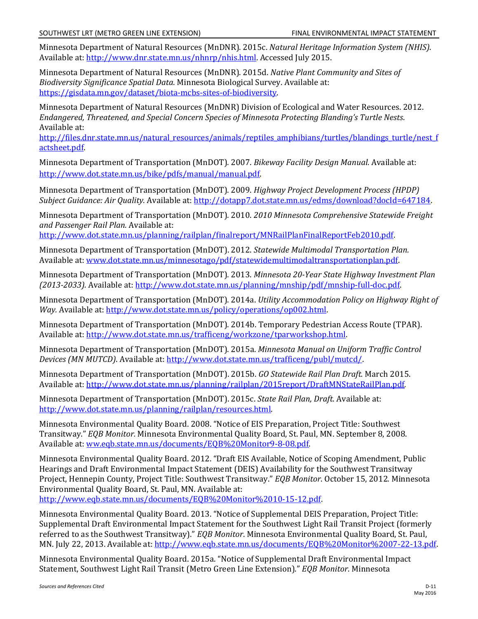Minnesota Department of Natural Resources (MnDNR). 2015c. *Natural Heritage Information System (NHIS)*. Available at: [http://www.dnr.state.mn.us/nhnrp/nhis.html.](http://www.dnr.state.mn.us/nhnrp/nhis.html) Accessed July 2015.

Minnesota Department of Natural Resources (MnDNR). 2015d. *Native Plant Community and Sites of Biodiversity Significance Spatial Data*. Minnesota Biological Survey. Available at: [https://gisdata.mn.gov/dataset/biota-mcbs-sites-of-biodiversity.](https://gisdata.mn.gov/dataset/biota-mcbs-sites-of-biodiversity) 

Minnesota Department of Natural Resources (MnDNR) Division of Ecological and Water Resources. 2012. *Endangered, Threatened, and Special Concern Species of Minnesota Protecting Blanding's Turtle Nests*. Available at:

[http://files.dnr.state.mn.us/natural\\_resources/animals/reptiles\\_amphibians/turtles/blandings\\_turtle/nest\\_f](http://files.dnr.state.mn.us/natural_resources/animals/reptiles_amphibians/turtles/blandings_turtle/nest_factsheet.pdf)\_ [actsheet.pdf.](http://files.dnr.state.mn.us/natural_resources/animals/reptiles_amphibians/turtles/blandings_turtle/nest_factsheet.pdf) 

Minnesota Department of Transportation (MnDOT). 2007. *Bikeway Facility Design Manual.* Available at: [http://www.dot.state.mn.us/bike/pdfs/manual/manual.pdf.](http://www.dot.state.mn.us/bike/pdfs/manual/manual.pdf)

Minnesota Department of Transportation (MnDOT). 2009. *Highway Project Development Process (HPDP) Subject Guidance: Air Quality.* Available at[: http://dotapp7.dot.state.mn.us/edms/download?docId=647184.](http://dotapp7.dot.state.mn.us/edms/download?docId=647184)

Minnesota Department of Transportation (MnDOT). 2010. *2010 Minnesota Comprehensive Statewide Freight and Passenger Rail Plan.* Available at:

[http://www.dot.state.mn.us/planning/railplan/finalreport/MNRailPlanFinalReportFeb2010.pdf.](http://www.dot.state.mn.us/planning/railplan/finalreport/MNRailPlanFinalReportFeb2010.pdf)

Minnesota Department of Transportation (MnDOT). 2012. *Statewide Multimodal Transportation Plan.* Available at: [www.dot.state.mn.us/minnesotago/pdf/statewidemultimodaltransportationplan.pdf.](http://www.dot.state.mn.us/minnesotago/pdf/statewidemultimodaltransportationplan.pdf)

Minnesota Department of Transportation (MnDOT). 2013. *Minnesota 20-Year State Highway Investment Plan (2013-2033).* Available at[: http://www.dot.state.mn.us/planning/mnship/pdf/mnship-full-doc.pdf.](http://www.dot.state.mn.us/planning/mnship/pdf/mnship-full-doc.pdf) 

Minnesota Department of Transportation (MnDOT). 2014a. *Utility Accommodation Policy on Highway Right of Way.* Available at: [http://www.dot.state.mn.us/policy/operations/op002.html.](http://www.dot.state.mn.us/policy/operations/op002.html)

Minnesota Department of Transportation (MnDOT). 2014b. Temporary Pedestrian Access Route (TPAR). Available at: [http://www.dot.state.mn.us/trafficeng/workzone/tparworkshop.html.](http://www.dot.state.mn.us/trafficeng/workzone/tparworkshop.html)

Minnesota Department of Transportation (MnDOT). 2015a. *Minnesota Manual on Uniform Traffic Control Devices (MN MUTCD)*. Available at: [http://www.dot.state.mn.us/trafficeng/publ/mutcd/.](http://www.dot.state.mn.us/trafficeng/publ/mutcd/)

Minnesota Department of Transportation (MnDOT). 2015b. *GO Statewide Rail Plan Draft.* March 2015. Available at: [http://www.dot.state.mn.us/planning/railplan/2015report/DraftMNStateRailPlan.pdf.](http://www.dot.state.mn.us/planning/railplan/2015report/DraftMNStateRailPlan.pdf)

Minnesota Department of Transportation (MnDOT). 2015c. *State Rail Plan, Draft*. Available at: [http://www.dot.state.mn.us/planning/railplan/resources.html.](http://www.dot.state.mn.us/planning/railplan/resources.html) 

Minnesota Environmental Quality Board. 2008. "Notice of EIS Preparation, Project Title: Southwest Transitway." *EQB Monitor.* Minnesota Environmental Quality Board, St. Paul, MN. September 8, 2008. Available at: [ww.eqb.state.mn.us/documents/EQB%20Monitor9-8-08.pdf.](http://www.eqb.state.mn.us/documents/EQB%20Monitor9-8-08.pdf)

Minnesota Environmental Quality Board. 2012. "Draft EIS Available, Notice of Scoping Amendment, Public Hearings and Draft Environmental Impact Statement (DEIS) Availability for the Southwest Transitway Project, Hennepin County, Project Title: Southwest Transitway." *EQB Monitor*. October 15, 2012*.* Minnesota Environmental Quality Board, St. Paul, MN. Available at:

[http://www.eqb.state.mn.us/documents/EQB%20Monitor%2010-15-12.pdf.](http://www.eqb.state.mn.us/documents/EQB%20Monitor%2010-15-12.pdf) 

Minnesota Environmental Quality Board. 2013. "Notice of Supplemental DEIS Preparation, Project Title: Supplemental Draft Environmental Impact Statement for the Southwest Light Rail Transit Project (formerly referred to as the Southwest Transitway)." *EQB Monitor*. Minnesota Environmental Quality Board, St. Paul, MN. July 22, 2013. Available at: [http://www.eqb.state.mn.us/documents/EQB%20Monitor%2007-22-13.pdf.](http://www.eqb.state.mn.us/documents/EQB%20Monitor%2007-22-13.pdf)

Minnesota Environmental Quality Board. 2015a. "Notice of Supplemental Draft Environmental Impact Statement, Southwest Light Rail Transit (Metro Green Line Extension)." *EQB Monitor*. Minnesota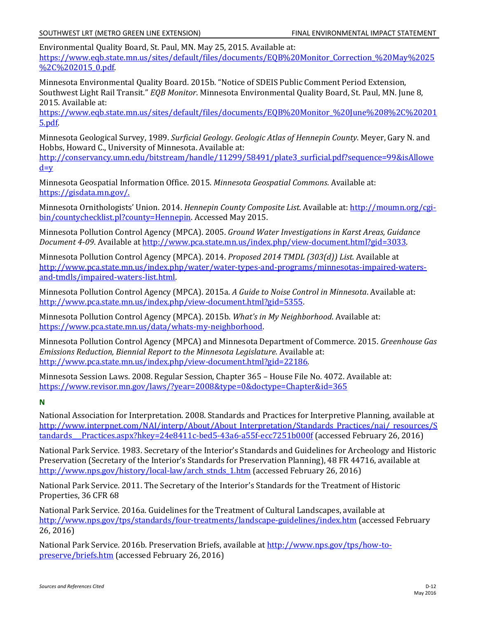Environmental Quality Board, St. Paul, MN. May 25, 2015. Available at: [https://www.eqb.state.mn.us/sites/default/files/documents/EQB%20Monitor\\_Correction\\_%20May%2025](https://www.eqb.state.mn.us/sites/default/files/documents/EQB%20Monitor_Correction_%20May%2025%2C%202015_0.pdf) [%2C%202015\\_0.pdf.](https://www.eqb.state.mn.us/sites/default/files/documents/EQB%20Monitor_Correction_%20May%2025%2C%202015_0.pdf)

Minnesota Environmental Quality Board. 2015b. "Notice of SDEIS Public Comment Period Extension, Southwest Light Rail Transit." *EQB Monitor*. Minnesota Environmental Quality Board, St. Paul, MN. June 8, 2015. Available at:

[https://www.eqb.state.mn.us/sites/default/files/documents/EQB%20Monitor\\_%20June%208%2C%20201](https://www.eqb.state.mn.us/sites/default/files/documents/EQB%20Monitor_%20June%208%2C%202015.pdf) [5.pdf.](https://www.eqb.state.mn.us/sites/default/files/documents/EQB%20Monitor_%20June%208%2C%202015.pdf)

Minnesota Geological Survey, 1989. *Surficial Geology*. *Geologic Atlas of Hennepin County*. Meyer, Gary N. and Hobbs, Howard C., University of Minnesota. Available at:

[http://conservancy.umn.edu/bitstream/handle/11299/58491/plate3\\_surficial.pdf?sequence=99&isAllowe](http://conservancy.umn.edu/bitstream/handle/11299/58491/plate3_surficial.pdf?sequence=99&isAllowed=y)  $d=y$ 

Minnesota Geospatial Information Office. 2015. *Minnesota Geospatial Commons*. Available at: [https://gisdata.mn.gov/.](https://gisdata.mn.gov/)

Minnesota Ornithologists' Union. 2014. *Hennepin County Composite List*. Available at: [http://moumn.org/cgi](http://moumn.org/cgi-bin/countychecklist.pl?county=Hennepin)[bin/countychecklist.pl?county=Hennepin.](http://moumn.org/cgi-bin/countychecklist.pl?county=Hennepin) Accessed May 2015.

Minnesota Pollution Control Agency (MPCA). 2005. *Ground Water Investigations in Karst Areas, Guidance Document 4-09*. Available at [http://www.pca.state.mn.us/index.php/view-document.html?gid=3033.](http://www.pca.state.mn.us/index.php/view-document.html?gid=3033)

Minnesota Pollution Control Agency (MPCA). 2014. *Proposed 2014 TMDL (303(d)) List.* Available at [http://www.pca.state.mn.us/index.php/water/water-types-and-programs/minnesotas-impaired-waters](http://www.pca.state.mn.us/index.php/water/water-types-and-programs/minnesotas-impaired-waters-and-tmdls/impaired-waters-list.html)[and-tmdls/impaired-waters-list.html.](http://www.pca.state.mn.us/index.php/water/water-types-and-programs/minnesotas-impaired-waters-and-tmdls/impaired-waters-list.html)

Minnesota Pollution Control Agency (MPCA). 2015a. *A Guide to Noise Control in Minnesota*. Available at: [http://www.pca.state.mn.us/index.php/view-document.html?gid=5355.](http://www.pca.state.mn.us/index.php/view-document.html?gid=5355)

Minnesota Pollution Control Agency (MPCA). 2015b. *What's in My Neighborhood*. Available at: [https://www.pca.state.mn.us/data/whats-my-neighborhood.](https://www.pca.state.mn.us/data/whats-my-neighborhood)

Minnesota Pollution Control Agency (MPCA) and Minnesota Department of Commerce. 2015. *Greenhouse Gas Emissions Reduction, Biennial Report to the Minnesota Legislature.* Available at: [http://www.pca.state.mn.us/index.php/view-document.html?gid=22186.](http://www.pca.state.mn.us/index.php/view-document.html?gid=22186)

Minnesota Session Laws. 2008. Regular Session, Chapter 365 – House File No. 4072. Available at: <https://www.revisor.mn.gov/laws/?year=2008&type=0&doctype=Chapter&id=365>

#### **N**

National Association for Interpretation. 2008. Standards and Practices for Interpretive Planning, available at [http://www.interpnet.com/NAI/interp/About/About\\_Interpretation/Standards\\_Practices/nai/\\_resources/S](http://www.interpnet.com/NAI/interp/About/About_Interpretation/Standards_Practices/nai/_resources/Standards___Practices.aspx?hkey=24e8411c-bed5-43a6-a55f-ecc7251b000f) tandards Practices.aspx?hkey=24e8411c-bed5-43a6-a55f-ecc7251b000f (accessed February 26, 2016)

National Park Service. 1983. Secretary of the Interior's Standards and Guidelines for Archeology and Historic Preservation (Secretary of the Interior's Standards for Preservation Planning), 48 FR 44716, available at [http://www.nps.gov/history/local-law/arch\\_stnds\\_1.htm](http://www.nps.gov/history/local-law/arch_stnds_1.htm) (accessed February 26, 2016)

National Park Service. 2011. The Secretary of the Interior's Standards for the Treatment of Historic Properties, 36 CFR 68

National Park Service. 2016a. Guidelines for the Treatment of Cultural Landscapes, available at <http://www.nps.gov/tps/standards/four-treatments/landscape-guidelines/index.htm> (accessed February 26, 2016)

National Park Service. 2016b. Preservation Briefs, available at [http://www.nps.gov/tps/how-to](http://www.nps.gov/tps/how-to-preserve/briefs.htm)[preserve/briefs.htm](http://www.nps.gov/tps/how-to-preserve/briefs.htm) (accessed February 26, 2016)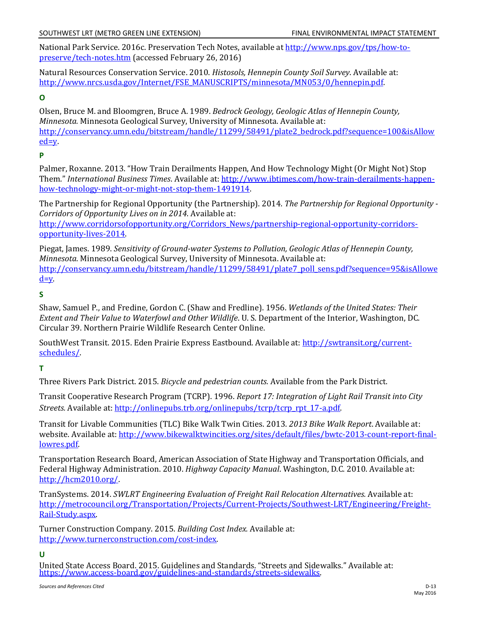National Park Service. 2016c. Preservation Tech Notes, available at [http://www.nps.gov/tps/how-to](http://www.nps.gov/tps/how-to-preserve/tech-notes.htm)[preserve/tech-notes.htm](http://www.nps.gov/tps/how-to-preserve/tech-notes.htm) (accessed February 26, 2016)

Natural Resources Conservation Service. 2010. *Histosols, Hennepin County Soil Survey*. Available at: [http://www.nrcs.usda.gov/Internet/FSE\\_MANUSCRIPTS/minnesota/MN053/0/hennepin.pdf.](http://www.nrcs.usda.gov/Internet/FSE_MANUSCRIPTS/minnesota/MN053/0/hennepin.pdf)

## **O**

Olsen, Bruce M. and Bloomgren, Bruce A. 1989. *Bedrock Geology, Geologic Atlas of Hennepin County, Minnesota.* Minnesota Geological Survey, University of Minnesota. Available at: [http://conservancy.umn.edu/bitstream/handle/11299/58491/plate2\\_bedrock.pdf?sequence=100&isAllow](http://conservancy.umn.edu/bitstream/handle/11299/58491/plate2_bedrock.pdf?sequence=100&isAllowed=y) [ed=y.](http://conservancy.umn.edu/bitstream/handle/11299/58491/plate2_bedrock.pdf?sequence=100&isAllowed=y) 

## **P**

Palmer, Roxanne. 2013. "How Train Derailments Happen, And How Technology Might (Or Might Not) Stop Them." *International Business Times*. Available at: [http://www.ibtimes.com/how-train-derailments-happen](http://www.ibtimes.com/how-train-derailments-happen-how-technology-might-or-might-not-stop-them-1491914)[how-technology-might-or-might-not-stop-them-1491914.](http://www.ibtimes.com/how-train-derailments-happen-how-technology-might-or-might-not-stop-them-1491914)

The Partnership for Regional Opportunity (the Partnership). 2014. *The Partnership for Regional Opportunity - Corridors of Opportunity Lives on in 2014*. Available at: [http://www.corridorsofopportunity.org/Corridors\\_News/partnership-regional-opportunity-corridors](http://www.corridorsofopportunity.org/Corridors_News/partnership-regional-opportunity-corridors-opportunity-lives-2014)[opportunity-lives-2014.](http://www.corridorsofopportunity.org/Corridors_News/partnership-regional-opportunity-corridors-opportunity-lives-2014)

Piegat, James. 1989. *Sensitivity of Ground-water Systems to Pollution, Geologic Atlas of Hennepin County, Minnesota*. Minnesota Geological Survey, University of Minnesota. Available at: [http://conservancy.umn.edu/bitstream/handle/11299/58491/plate7\\_poll\\_sens.pdf?sequence=95&isAllowe](http://conservancy.umn.edu/bitstream/handle/11299/58491/plate7_poll_sens.pdf?sequence=95&isAllowed=y)  $d=y$ .

## **S**

Shaw, Samuel P., and Fredine, Gordon C. (Shaw and Fredline). 1956. *Wetlands of the United States: Their Extent and Their Value to Waterfowl and Other Wildlife*. U. S. Department of the Interior, Washington, DC. Circular 39. Northern Prairie Wildlife Research Center Online.

SouthWest Transit. 2015. Eden Prairie Express Eastbound. Available at[: http://swtransit.org/current](http://swtransit.org/current-schedules/)[schedules/.](http://swtransit.org/current-schedules/)

# **T**

Three Rivers Park District. 2015. *Bicycle and pedestrian counts.* Available from the Park District.

Transit Cooperative Research Program (TCRP). 1996. *Report 17: Integration of Light Rail Transit into City Streets.* Available at: [http://onlinepubs.trb.org/onlinepubs/tcrp/tcrp\\_rpt\\_17-a.pdf.](http://onlinepubs.trb.org/onlinepubs/tcrp/tcrp_rpt_17-a.pdf)

Transit for Livable Communities (TLC) Bike Walk Twin Cities. 2013. *2013 Bike Walk Report*. Available at: website. Available at: [http://www.bikewalktwincities.org/sites/default/files/bwtc-2013-count-report-final](http://www.bikewalktwincities.org/sites/default/files/bwtc-2013-count-report-final-lowres.pdf)[lowres.pdf.](http://www.bikewalktwincities.org/sites/default/files/bwtc-2013-count-report-final-lowres.pdf)

Transportation Research Board, American Association of State Highway and Transportation Officials, and Federal Highway Administration. 2010. *Highway Capacity Manual*. Washington, D.C. 2010. Available at: [http://hcm2010.org/.](http://hcm2010.org/)

TranSystems. 2014. *SWLRT Engineering Evaluation of Freight Rail Relocation Alternatives.* Available at: [http://metrocouncil.org/Transportation/Projects/Current-Projects/Southwest-LRT/Engineering/Freight-](http://metrocouncil.org/Transportation/Projects/Current-Projects/Southwest-LRT/Engineering/Freight-Rail-Study.aspx)[Rail-Study.aspx.](http://metrocouncil.org/Transportation/Projects/Current-Projects/Southwest-LRT/Engineering/Freight-Rail-Study.aspx)

Turner Construction Company. 2015. *Building Cost Index.* Available at: [http://www.turnerconstruction.com/cost-index.](http://www.turnerconstruction.com/cost-index)

#### **U**

United State Access Board. 2015. Guidelines and Standards. "Streets and Sidewalks." Available at: [https://www.access-board.gov/guidelines-and-standards/streets-sidewalks.](https://www.access-board.gov/guidelines-and-standards/streets-sidewalks)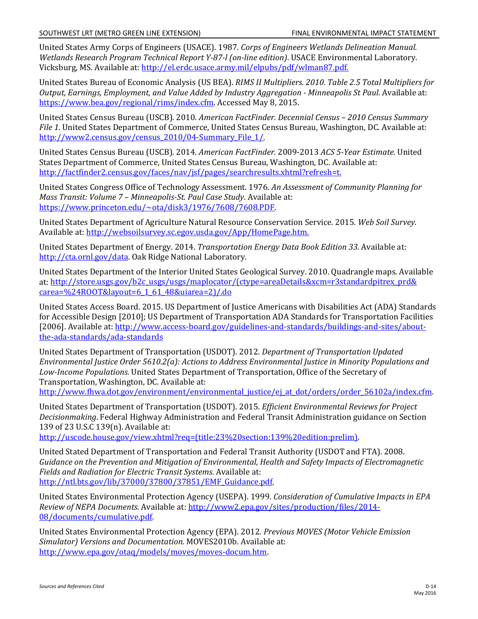United States Army Corps of Engineers (USACE). 1987. *Corps of Engineers Wetlands Delineation Manual. Wetlands Research Program Technical Report Y-87-l (on-line edition)*. USACE Environmental Laboratory. Vicksburg, MS. Available at[: http://el.erdc.usace.army.mil/elpubs/pdf/wlman87.pdf.](http://el.erdc.usace.army.mil/elpubs/pdf/wlman87.pdf) 

United States Bureau of Economic Analysis (US BEA). *RIMS II Multipliers. 2010. Table 2.5 Total Multipliers for Output, Earnings, Employment, and Value Added by Industry Aggregation - Minneapolis St Paul*. Available at: [https://www.bea.gov/regional/rims/index.cfm.](https://www.bea.gov/regional/rims/index.cfm) Accessed May 8, 2015.

United States Census Bureau (USCB). 2010. *American FactFinder. Decennial Census – 2010 Census Summary File 1.* United States Department of Commerce, United States Census Bureau, Washington, DC. Available at: [http://www2.census.gov/census\\_2010/04-Summary\\_File\\_1/.](http://www2.census.gov/census_2010/04-Summary_File_1/)

United States Census Bureau (USCB). 2014. *American FactFinder.* 2009-2013 *ACS 5-Year Estimate.* United States Department of Commerce, United States Census Bureau, Washington, DC. Available at: [http://factfinder2.census.gov/faces/nav/jsf/pages/searchresults.xhtml?refresh=t.](http://factfinder2.census.gov/faces/nav/jsf/pages/searchresults.xhtml?refresh=t)

United States Congress Office of Technology Assessment. 1976. *An Assessment of Community Planning for Mass Transit: Volume 7 – Minneapolis-St. Paul Case Study*. Available at: [https://www.princeton.edu/~ota/disk3/1976/7608/7608.PDF.](https://www.princeton.edu/%7Eota/disk3/1976/7608/7608.PDF)

United States Department of Agriculture Natural Resource Conservation Service. 2015. *Web Soil Survey*. Available at: http://websoilsurvey.sc.egov.usda.gov/App/HomePage.htm.

United States Department of Energy. 2014. *Transportation Energy Data Book Edition 33.* Available at: [http://cta.ornl.gov/data.](http://cta.ornl.gov/data) Oak Ridge National Laboratory.

United States Department of the Interior United States Geological Survey. 2010. Quadrangle maps. Available at: [http://store.usgs.gov/b2c\\_usgs/usgs/maplocator/\(ctype=areaDetails&xcm=r3standardpitrex\\_prd&](http://store.usgs.gov/b2c_usgs/usgs/maplocator/(ctype=areaDetails&xcm=r3standardpitrex_prd&%20carea=%24ROOT&layout=6_1_61_48&uiarea=2)/.do) [carea=%24ROOT&layout=6\\_1\\_61\\_48&uiarea=2\)/.do](http://store.usgs.gov/b2c_usgs/usgs/maplocator/(ctype=areaDetails&xcm=r3standardpitrex_prd&%20carea=%24ROOT&layout=6_1_61_48&uiarea=2)/.do)

United States Access Board. 2015. US Department of Justice Americans with Disabilities Act (ADA) Standards for Accessible Design [2010]; US Department of Transportation ADA Standards for Transportation Facilities [2006]. Available at[: http://www.access-board.gov/guidelines-and-standards/buildings-and-sites/about](http://www.access-board.gov/guidelines-and-standards/buildings-and-sites/about-the-ada-standards/ada-standards)[the-ada-standards/ada-standards](http://www.access-board.gov/guidelines-and-standards/buildings-and-sites/about-the-ada-standards/ada-standards)

United States Department of Transportation (USDOT). 2012. *Department of Transportation Updated Environmental Justice Order 5610.2(a): Actions to Address Environmental Justice in Minority Populations and Low-Income Populations.* United States Department of Transportation, Office of the Secretary of Transportation, Washington, DC. Available at:

http://www.fhwa.dot.gov/environment/environmental justice/ej at dot/orders/order 56102a/index.cfm.

United States Department of Transportation (USDOT). 2015. *Efficient Environmental Reviews for Project Decisionmaking*. Federal Highway Administration and Federal Transit Administration guidance on Section 139 of 23 U.S.C 139(n). Available at:

[http://uscode.house.gov/view.xhtml?req=\(title:23%20section:139%20edition:prelim\).](http://uscode.house.gov/view.xhtml?req=(title:23%20section:139%20edition:prelim)) 

United Stated Department of Transportation and Federal Transit Authority (USDOT and FTA). 2008. *Guidance on the Prevention and Mitigation of Environmental, Health and Safety Impacts of Electromagnetic Fields and Radiation for Electric Transit Systems*. Available at: [http://ntl.bts.gov/lib/37000/37800/37851/EMF\\_Guidance.pdf.](http://ntl.bts.gov/lib/37000/37800/37851/EMF_Guidance.pdf) 

United States Environmental Protection Agency (USEPA). 1999. *Consideration of Cumulative Impacts in EPA Review of NEPA Documents*. Available at: [http://www2.epa.gov/sites/production/files/2014-](http://www2.epa.gov/sites/production/files/2014-08/documents/cumulative.pdf) [08/documents/cumulative.pdf.](http://www2.epa.gov/sites/production/files/2014-08/documents/cumulative.pdf) 

United States Environmental Protection Agency (EPA). 2012. *Previous MOVES (Motor Vehicle Emission Simulator) Versions and Documentation.* MOVES2010b. Available at: [http://www.epa.gov/otaq/models/moves/moves-docum.htm.](http://www.epa.gov/otaq/models/moves/moves-docum.htm)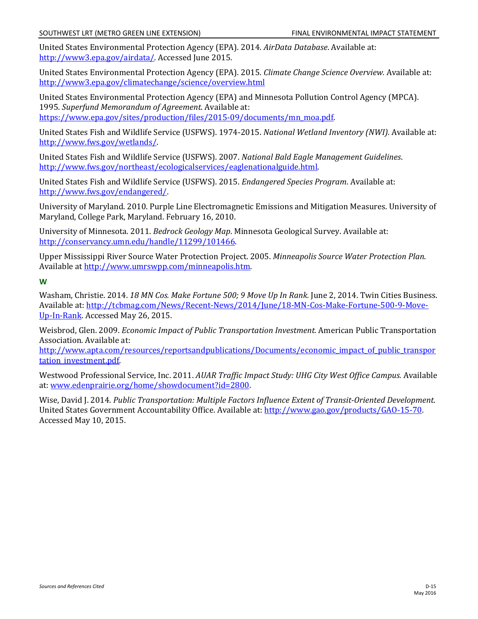United States Environmental Protection Agency (EPA). 2014. *AirData Database*. Available at: [http://www3.epa.gov/airdata/.](http://www3.epa.gov/airdata/) Accessed June 2015.

United States Environmental Protection Agency (EPA). 2015. *Climate Change Science Overview.* Available at: <http://www3.epa.gov/climatechange/science/overview.html>

United States Environmental Protection Agency (EPA) and Minnesota Pollution Control Agency (MPCA). 1995. *Superfund Memorandum of Agreement*. Available at: [https://www.epa.gov/sites/production/files/2015-09/documents/mn\\_moa.pdf.](https://www.epa.gov/sites/production/files/2015-09/documents/mn_moa.pdf) 

United States Fish and Wildlife Service (USFWS). 1974-2015. *National Wetland Inventory (NWI).* Available at: [http://www.fws.gov/wetlands/.](http://www.fws.gov/wetlands/)

United States Fish and Wildlife Service (USFWS). 2007. *National Bald Eagle Management Guidelines*. [http://www.fws.gov/northeast/ecologicalservices/eaglenationalguide.html.](http://www.fws.gov/northeast/ecologicalservices/eaglenationalguide.html)

United States Fish and Wildlife Service (USFWS). 2015. *Endangered Species Program*. Available at: [http://www.fws.gov/endangered/.](http://www.fws.gov/endangered/)

University of Maryland. 2010. Purple Line Electromagnetic Emissions and Mitigation Measures. University of Maryland, College Park, Maryland. February 16, 2010.

University of Minnesota. 2011. *Bedrock Geology Map*. Minnesota Geological Survey. Available at: [http://conservancy.umn.edu/handle/11299/101466.](http://conservancy.umn.edu/handle/11299/101466) 

Upper Mississippi River Source Water Protection Project. 2005. *Minneapolis Source Water Protection Plan*. Available at [http://www.umrswpp.com/minneapolis.htm.](http://www.umrswpp.com/minneapolis.htm)

**W** 

Washam, Christie. 2014. *18 MN Cos. Make Fortune 500; 9 Move Up In Rank.* June 2, 2014. Twin Cities Business. Available at: [http://tcbmag.com/News/Recent-News/2014/June/18-MN-Cos-Make-Fortune-500-9-Move-](http://tcbmag.com/News/Recent-News/2014/June/18-MN-Cos-Make-Fortune-500-9-Move-Up-In-Rank)[Up-In-Rank.](http://tcbmag.com/News/Recent-News/2014/June/18-MN-Cos-Make-Fortune-500-9-Move-Up-In-Rank) Accessed May 26, 2015.

Weisbrod, Glen. 2009. *Economic Impact of Public Transportation Investment.* American Public Transportation Association. Available at:

[http://www.apta.com/resources/reportsandpublications/Documents/economic\\_impact\\_of\\_public\\_transpor](http://www.apta.com/resources/reportsandpublications/Documents/economic_impact_of_public_transportation_investment.pdf) tation\_investment.pdf

Westwood Professional Service, Inc. 2011. *AUAR Traffic Impact Study: UHG City West Office Campus.* Available at: [www.edenprairie.org/home/showdocument?id=2800.](http://www.edenprairie.org/home/showdocument?id=2800) 

Wise, David J. 2014. *Public Transportation: Multiple Factors Influence Extent of Transit-Oriented Development*. United States Government Accountability Office. Available at: [http://www.gao.gov/products/GAO-15-70.](http://www.gao.gov/products/GAO-15-70) Accessed May 10, 2015.